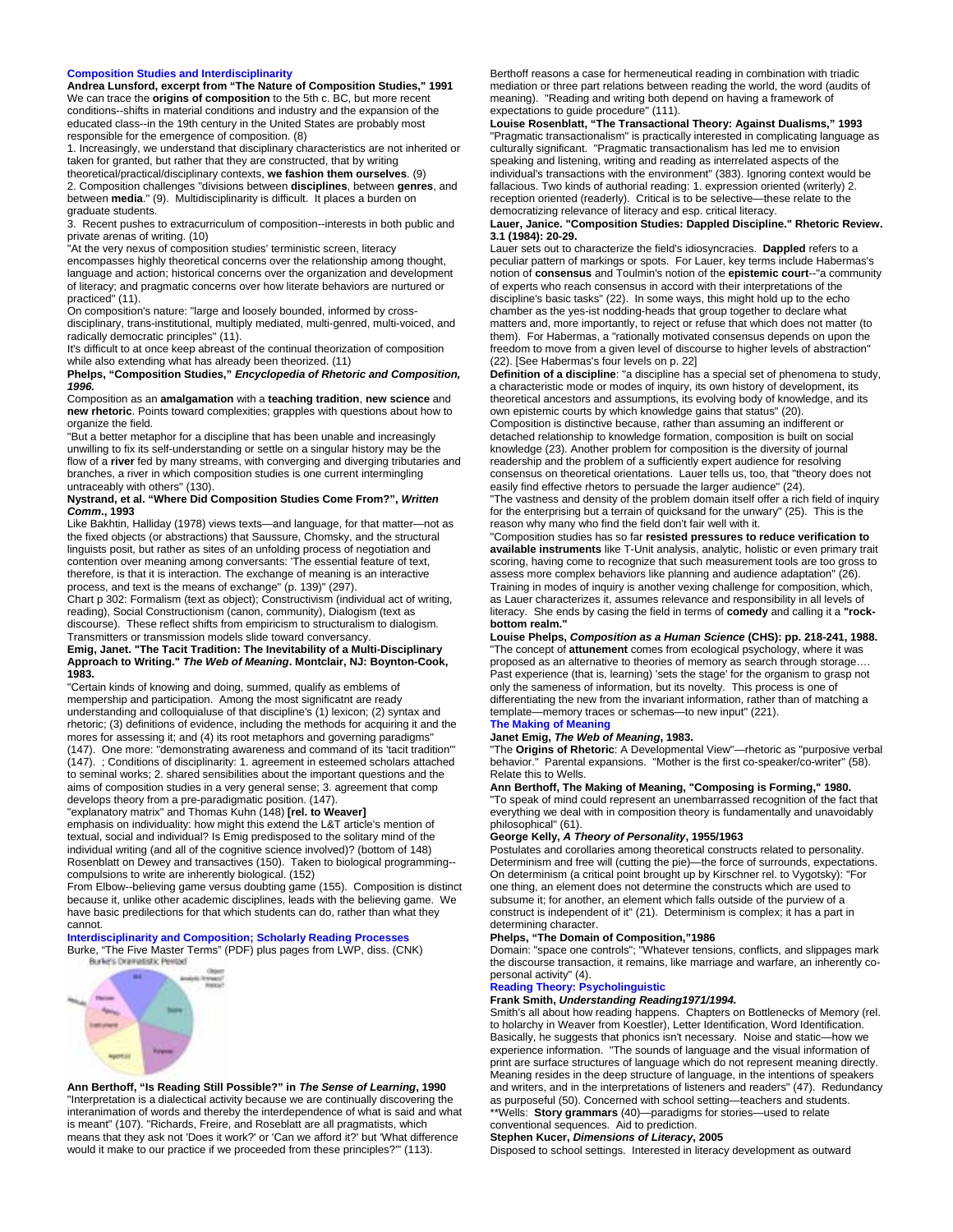### **Composition Studies and Interdisciplinarity**

**Andrea Lunsford, excerpt from "The Nature of Composition Studies," 1991** We can trace the **origins of composition** to the 5th c. BC, but more recent conditions--shifts in material conditions and industry and the expansion of the educated class--in the 19th century in the United States are probably most responsible for the emergence of composition. (8)

1. Increasingly, we understand that disciplinary characteristics are not inherited or taken for granted, but rather that they are constructed, that by writing theoretical/practical/disciplinary contexts, **we fashion them ourselves**. (9)

2. Composition challenges "divisions between **disciplines**, between **genres**, and between **media**." (9). Multidisciplinarity is difficult. It places a burden on graduate students.

3. Recent pushes to extracurriculum of composition--interests in both public and private arenas of writing. (10)

"At the very nexus of composition studies' terministic screen, literacy encompasses highly theoretical concerns over the relationship among thought, language and action; historical concerns over the organization and development of literacy; and pragmatic concerns over how literate behaviors are nurtured or practiced" (11).

On composition's nature: "large and loosely bounded, informed by crossdisciplinary, trans-institutional, multiply mediated, multi-genred, multi-voiced, and radically democratic principles" (11).

It's difficult to at once keep abreast of the continual theorization of composition while also extending what has already been theorized. (11)

**Phelps, "Composition Studies,"** *Encyclopedia of Rhetoric and Composition, 1996.* 

Composition as an **amalgamation** with a **teaching tradition**, **new science** and **new rhetoric**. Points toward complexities; grapples with questions about how to organize the field.

"But a better metaphor for a discipline that has been unable and increasingly unwilling to fix its self-understanding or settle on a singular history may be the flow of a **river** fed by many streams, with converging and diverging tributaries and branches, a river in which composition studies is one current intermingling untraceably with others" (130).

### **Nystrand, et al. "Where Did Composition Studies Come From?",** *Written Comm***., 1993**

Like Bakhtin, Halliday (1978) views texts—and language, for that matter—not as the fixed objects (or abstractions) that Saussure, Chomsky, and the structural linguists posit, but rather as sites of an unfolding process of negotiation and contention over meaning among conversants: 'The essential feature of text, therefore, is that it is interaction. The exchange of meaning is an interactive process, and text is the means of exchange" (p. 139)" (297).

Chart p 302: Formalism (text as object); Constructivism (individual act of writing, reading), Social Constructionism (canon, community), Dialogism (text as discourse). These reflect shifts from empiricism to structuralism to dialogism. Transmitters or transmission models slide toward conversancy.

## **Emig, Janet. "The Tacit Tradition: The Inevitability of a Multi-Disciplinary Approach to Writing."** *The Web of Meaning***. Montclair, NJ: Boynton-Cook, 1983.**

"Certain kinds of knowing and doing, summed, qualify as emblems of mempership and participation. Among the most significatnt are ready understanding and colloquialuse of that discipline's (1) lexicon; (2) syntax and rhetoric; (3) definitions of evidence, including the methods for acquiring it and the mores for assessing it; and (4) its root metaphors and governing paradigms" (147). One more: "demonstrating awareness and command of its 'tacit tradition'" (147). ; Conditions of disciplinarity: 1. agreement in esteemed scholars attached to seminal works; 2. shared sensibilities about the important questions and the aims of composition studies in a very general sense; 3. agreement that comp develops theory from a pre-paradigmatic position. (147).

"explanatory matrix" and Thomas Kuhn (148) **[rel. to Weaver]**

emphasis on individuality: how might this extend the L&T article's mention of textual, social and individual? Is Emig predisposed to the solitary mind of the individual writing (and all of the cognitive science involved)? (bottom of 148) Rosenblatt on Dewey and transactives (150). Taken to biological programming- compulsions to write are inherently biological. (152)

From Elbow--believing game versus doubting game (155). Composition is distinct because it, unlike other academic disciplines, leads with the believing game. We have basic predilections for that which students can do, rather than what they cannot.

# **Interdisciplinarity and Composition; Scholarly Reading Processes**

Burke, "The Five Master Terms" (PDF) plus pages from LWP, diss. (CNK)



## **Ann Berthoff, "Is Reading Still Possible?" in** *The Sense of Learning***, 1990**  "Interpretation is a dialectical activity because we are continually discovering the

interanimation of words and thereby the interdependence of what is said and what is meant" (107). "Richards, Freire, and Roseblatt are all pragmatists, which means that they ask not 'Does it work?' or 'Can we afford it?' but 'What difference would it make to our practice if we proceeded from these principles?'" (113).

Berthoff reasons a case for hermeneutical reading in combination with triadic mediation or three part relations between reading the world, the word (audits of meaning). "Reading and writing both depend on having a framework of expectations to guide procedure" (111).

**Louise Rosenblatt, "The Transactional Theory: Against Dualisms," 1993**  "Pragmatic transactionalism" is practically interested in complicating language as culturally significant. "Pragmatic transactionalism has led me to envision speaking and listening, writing and reading as interrelated aspects of the individual's transactions with the environment" (383). Ignoring context would be fallacious. Two kinds of authorial reading: 1. expression oriented (writerly) 2. reception oriented (readerly). Critical is to be selective—these relate to the democratizing relevance of literacy and esp. critical literacy.

## **Lauer, Janice. "Composition Studies: Dappled Discipline." Rhetoric Review. 3.1 (1984): 20-29.**

Lauer sets out to characterize the field's idiosyncracies. **Dappled** refers to a peculiar pattern of markings or spots. For Lauer, key terms include Habermas's notion of **consensus** and Toulmin's notion of the **epistemic court**--"a community of experts who reach consensus in accord with their interpretations of the discipline's basic tasks" (22). In some ways, this might hold up to the echo chamber as the yes-ist nodding-heads that group together to declare what matters and, more importantly, to reject or refuse that which does not matter (to them). For Habermas, a "rationally motivated consensus depends on upon the freedom to move from a given level of discourse to higher levels of abstraction" (22). [See Habermas's four levels on p. 22]

**Definition of a discipline**: "a discipline has a special set of phenomena to study, a characteristic mode or modes of inquiry, its own history of development, its theoretical ancestors and assumptions, its evolving body of knowledge, and its own epistemic courts by which knowledge gains that status" (20). Composition is distinctive because, rather than assuming an indifferent or detached relationship to knowledge formation, composition is built on social knowledge (23). Another problem for composition is the diversity of journal readership and the problem of a sufficiently expert audience for resolving consensus on theoretical orientations. Lauer tells us, too, that "theory does not easily find effective rhetors to persuade the larger audience" (24).

"The vastness and density of the problem domain itself offer a rich field of inquiry for the enterprising but a terrain of quicksand for the unwary" (25). This is the reason why many who find the field don't fair well with it.

"Composition studies has so far **resisted pressures to reduce verification to available instruments** like T-Unit analysis, analytic, holistic or even primary trait scoring, having come to recognize that such measurement tools are too gross to assess more complex behaviors like planning and audience adaptation" (26). Training in modes of inquiry is another vexing challenge for composition, which, as Lauer characterizes it, assumes relevance and responsibility in all levels of literacy. She ends by casing the field in terms of **comedy** and calling it a **"rock**bottom realm.

**Louise Phelps,** *Composition as a Human Science* **(CHS): pp. 218-241, 1988.**  "The concept of **attunement** comes from ecological psychology, where it was proposed as an alternative to theories of memory as search through storage…. Past experience (that is, learning) 'sets the stage' for the organism to grasp not only the sameness of information, but its novelty. This process is one of differentiating the new from the invariant information, rather than of matching a template—memory traces or schemas—to new input" (221).

### **The Making of Meaning Janet Emig,** *The Web of Meaning***, 1983.**

"The **Origins of Rhetoric**: A Developmental View"—rhetoric as "purposive verbal behavior." Parental expansions. "Mother is the first co-speaker/co-writer" (58). Relate this to Wells.

## **Ann Berthoff, The Making of Meaning, "Composing is Forming," 1980.**

"To speak of mind could represent an unembarrassed recognition of the fact that everything we deal with in composition theory is fundamentally and unavoidably philosophical" (61).

## **George Kelly,** *A Theory of Personality***, 1955/1963**

Postulates and corollaries among theoretical constructs related to personality. Determinism and free will (cutting the pie)—the force of surrounds, expectations. On determinism (a critical point brought up by Kirschner rel. to Vygotsky): "For one thing, an element does not determine the constructs which are used to subsume it; for another, an element which falls outside of the purview of a construct is independent of it" (21). Determinism is complex; it has a part in determining character.

#### **Phelps, "The Domain of Composition,"1986**

Domain: "space one controls"; "Whatever tensions, conflicts, and slippages mark the discourse transaction, it remains, like marriage and warfare, an inherently copersonal activity" (4).

#### **Reading Theory: Psycholinguistic**

### **Frank Smith,** *Understanding Reading1971/1994.*

Smith's all about how reading happens. Chapters on Bottlenecks of Memory (rel. to holarchy in Weaver from Koestler), Letter Identification, Word Identification. Basically, he suggests that phonics isn't necessary. Noise and static—how we experience information. "The sounds of language and the visual information of print are surface structures of language which do not represent meaning directly. Meaning resides in the deep structure of language, in the intentions of speakers and writers, and in the interpretations of listeners and readers" (47). Redundancy as purposeful (50). Concerned with school setting—teachers and students. \*\*Wells: **Story grammars** (40)—paradigms for stories—used to relate

## conventional sequences. Aid to prediction.

**Stephen Kucer,** *Dimensions of Literacy***, 2005**

Disposed to school settings. Interested in literacy development as outward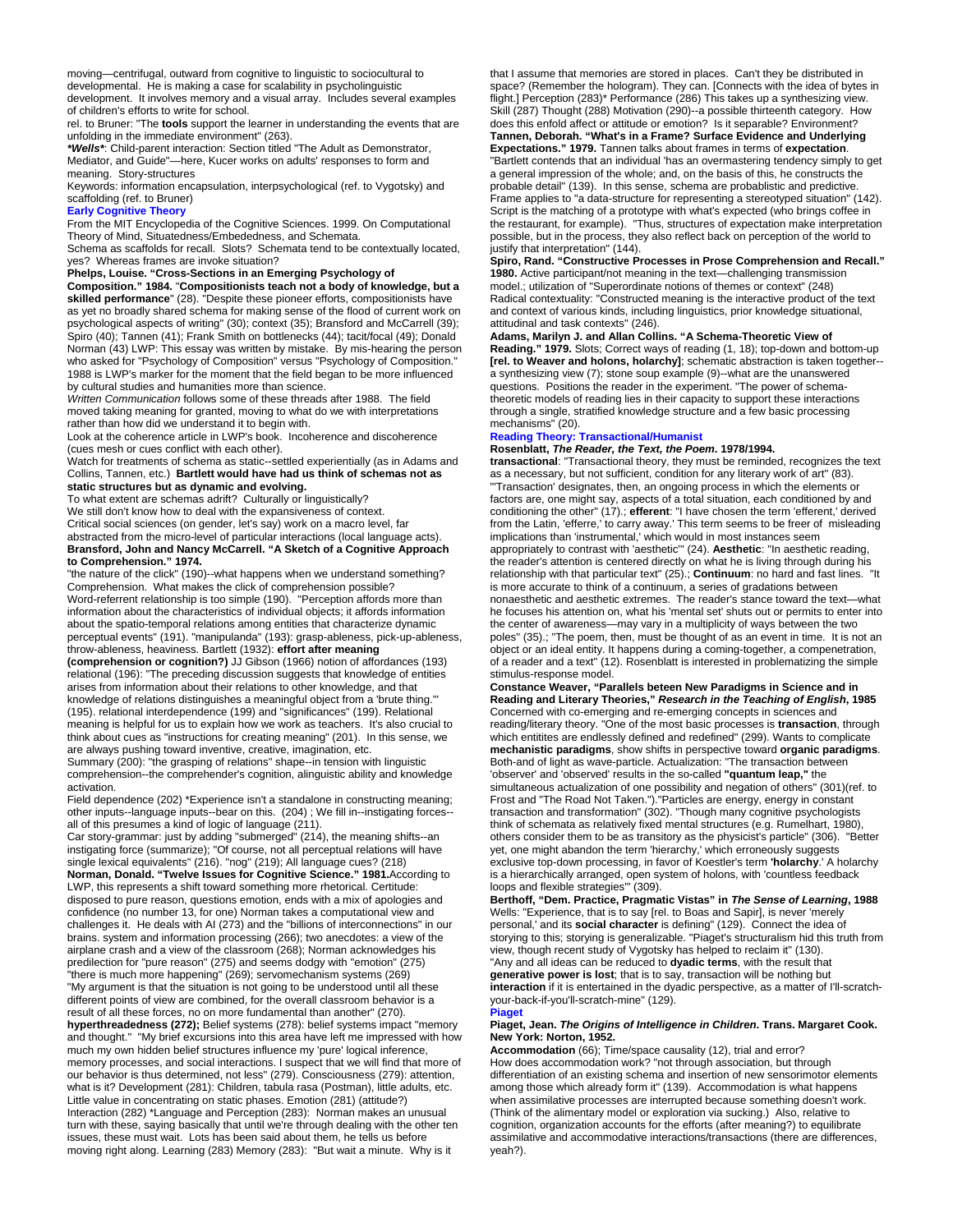moving—centrifugal, outward from cognitive to linguistic to sociocultural to developmental. He is making a case for scalability in psycholinguistic development. It involves memory and a visual array. Includes several examples of children's efforts to write for school.

rel. to Bruner: "The **tools** support the learner in understanding the events that are unfolding in the immediate environment" (263).

*\*Wells\**: Child-parent interaction: Section titled "The Adult as Demonstrator, Mediator, and Guide"—here, Kucer works on adults' responses to form and meaning. Story-structures

Keywords: information encapsulation, interpsychological (ref. to Vygotsky) and scaffolding (ref. to Bruner)

## **Early Cognitive Theory**

From the MIT Encyclopedia of the Cognitive Sciences. 1999. On Computational Theory of Mind, Situatedness/Embededness, and Schemata.

Schema as scaffolds for recall. Slots? Schemata tend to be contextually located, yes? Whereas frames are invoke situation?

**Phelps, Louise. "Cross-Sections in an Emerging Psychology of** 

**Composition." 1984.** "**Compositionists teach not a body of knowledge, but a skilled performance**" (28). "Despite these pioneer efforts, compositionists have as yet no broadly shared schema for making sense of the flood of current work on psychological aspects of writing" (30); context (35); Bransford and McCarrell (39); Spiro (40); Tannen (41); Frank Smith on bottlenecks (44); tacit/focal (49); Donald Norman (43) LWP: This essay was written by mistake. By mis-hearing the person who asked for "Psychology of Composition" versus "Psychology of Composition." 1988 is LWP's marker for the moment that the field began to be more influenced by cultural studies and humanities more than science.

*Written Communication* follows some of these threads after 1988. The field moved taking meaning for granted, moving to what do we with interpretations rather than how did we understand it to begin with.

Look at the coherence article in LWP's book. Incoherence and discoherence (cues mesh or cues conflict with each other).

Watch for treatments of schema as static--settled experientially (as in Adams and Collins, Tannen, etc.) **Bartlett would have had us think of schemas not as static structures but as dynamic and evolving.**

To what extent are schemas adrift? Culturally or linguistically? We still don't know how to deal with the expansiveness of context. Critical social sciences (on gender, let's say) work on a macro level, far abstracted from the micro-level of particular interactions (local language acts). **Bransford, John and Nancy McCarrell. "A Sketch of a Cognitive Approach to Comprehension." 1974.**

"the nature of the click" (190)--what happens when we understand something? Comprehension. What makes the click of comprehension possible? Word-referrent relationship is too simple (190). "Perception affords more than information about the characteristics of individual objects; it affords information about the spatio-temporal relations among entities that characterize dynamic perceptual events" (191). "manipulanda" (193): grasp-ableness, pick-up-ableness, throw-ableness, heaviness. Bartlett (1932): **effort after meaning** 

**(comprehension or cognition?)** JJ Gibson (1966) notion of affordances (193) relational (196): "The preceding discussion suggests that knowledge of entities arises from information about their relations to other knowledge, and that knowledge of relations distinguishes a meaningful object from a 'brute thing.'" (195). relational interdependence (199) and "significances" (199). Relational meaning is helpful for us to explain how we work as teachers. It's also crucial to think about cues as "instructions for creating meaning" (201). In this sense, we are always pushing toward inventive, creative, imagination, etc.

Summary (200): "the grasping of relations" shape--in tension with linguistic comprehension--the comprehender's cognition, alinguistic ability and knowledge activation.

Field dependence (202) \*Experience isn't a standalone in constructing meaning; other inputs--language inputs--bear on this. (204) ; We fill in--instigating forces- all of this presumes a kind of logic of language (211).

Car story-grammar: just by adding "submerged" (214), the meaning shifts--an instigating force (summarize); "Of course, not all perceptual relations will have single lexical equivalents" (216). "nog" (219); All language cues? (218) **Norman, Donald. "Twelve Issues for Cognitive Science." 1981.**According to LWP, this represents a shift toward something more rhetorical. Certitude: disposed to pure reason, questions emotion, ends with a mix of apologies and confidence (no number 13, for one) Norman takes a computational view and challenges it. He deals with AI (273) and the "billions of interconnections" in our brains. system and information processing (266); two anecdotes: a view of the airplane crash and a view of the classroom (268); Norman acknowledges his predilection for "pure reason" (275) and seems dodgy with "emotion" (275) "there is much more happening" (269); servomechanism systems (269) "My argument is that the situation is not going to be understood until all these different points of view are combined, for the overall classroom behavior is a result of all these forces, no on more fundamental than another" (270). **hyperthreadedness (272);** Belief systems (278): belief systems impact "memory and thought." "My brief excursions into this area have left me impressed with how much my own hidden belief structures influence my 'pure' logical inference, memory processes, and social interactions. I suspect that we will find that more of our behavior is thus determined, not less" (279). Consciousness (279): attention, what is it? Development (281): Children, tabula rasa (Postman), little adults, etc. Little value in concentrating on static phases. Emotion (281) (attitude?) Interaction (282) \*Language and Perception (283): Norman makes an unusual turn with these, saying basically that until we're through dealing with the other ten issues, these must wait. Lots has been said about them, he tells us before moving right along. Learning (283) Memory (283): "But wait a minute. Why is it

that I assume that memories are stored in places. Can't they be distributed in space? (Remember the hologram). They can. [Connects with the idea of bytes in flight.] Perception (283)\* Performance (286) This takes up a synthesizing view. Skill (287) Thought (288) Motivation (290)--a possible thirteenth category. How does this enfold affect or attitude or emotion? Is it separable? Environment? **Tannen, Deborah. "What's in a Frame? Surface Evidence and Underlying Expectations." 1979.** Tannen talks about frames in terms of **expectation**. "Bartlett contends that an individual 'has an overmastering tendency simply to get a general impression of the whole; and, on the basis of this, he constructs the probable detail" (139). In this sense, schema are probablistic and predictive. Frame applies to "a data-structure for representing a stereotyped situation" (142). Script is the matching of a prototype with what's expected (who brings coffee in the restaurant, for example). "Thus, structures of expectation make interpretation possible, but in the process, they also reflect back on perception of the world to justify that interpretation" (144).

**Spiro, Rand. "Constructive Processes in Prose Comprehension and Recall." 1980.** Active participant/not meaning in the text—challenging transmission model.; utilization of "Superordinate notions of themes or context" (248) Radical contextuality: "Constructed meaning is the interactive product of the text and context of various kinds, including linguistics, prior knowledge situational, attitudinal and task contexts" (246).

**Adams, Marilyn J. and Allan Collins. "A Schema-Theoretic View of Reading." 1979.** Slots; Correct ways of reading (1, 18); top-down and bottom-up **[rel. to Weaver and holons, holarchy]**; schematic abstraction is taken together- a synthesizing view (7); stone soup example (9)--what are the unanswered questions. Positions the reader in the experiment. "The power of schematheoretic models of reading lies in their capacity to support these interactions through a single, stratified knowledge structure and a few basic processing mechanisms" (20).

#### **Reading Theory: Transactional/Humanist Rosenblatt,** *The Reader, the Text, the Poem***. 1978/1994.**

**transactional**: "Transactional theory, they must be reminded, recognizes the text as a necessary, but not sufficient, condition for any literary work of art" (83). "'Transaction' designates, then, an ongoing process in which the elements or factors are, one might say, aspects of a total situation, each conditioned by and conditioning the other" (17).; **efferent**: "I have chosen the term 'efferent,' derived from the Latin, 'efferre,' to carry away.' This term seems to be freer of misleading implications than 'instrumental,' which would in most instances seem appropriately to contrast with 'aesthetic'" (24). **Aesthetic**: "In aesthetic reading, the reader's attention is centered directly on what he is living through during his relationship with that particular text" (25).; **Continuum**: no hard and fast lines. is more accurate to think of a continuum, a series of gradations between nonaesthetic and aesthetic extremes. The reader's stance toward the text—what he focuses his attention on, what his 'mental set' shuts out or permits to enter into the center of awareness—may vary in a multiplicity of ways between the two poles" (35).; "The poem, then, must be thought of as an event in time. It is not an object or an ideal entity. It happens during a coming-together, a compenetration, of a reader and a text" (12). Rosenblatt is interested in problematizing the simple stimulus-response model.

**Constance Weaver, "Parallels beteen New Paradigms in Science and in Reading and Literary Theories,"** *Research in the Teaching of English***, 1985** Concerned with co-emerging and re-emerging concepts in sciences and reading/literary theory. "One of the most basic processes is **transaction**, through which entitites are endlessly defined and redefined" (299). Wants to complicate **mechanistic paradigms**, show shifts in perspective toward **organic paradigms**. Both-and of light as wave-particle. Actualization: "The transaction between 'observer' and 'observed' results in the so-called **"quantum leap,"** the simultaneous actualization of one possibility and negation of others" (301)(ref. to Frost and "The Road Not Taken.")."Particles are energy, energy in constant transaction and transformation" (302). "Though many cognitive psychologists think of schemata as relatively fixed mental structures (e.g. Rumelhart, 1980), others consider them to be as transitory as the physicist's particle" (306). "Better yet, one might abandon the term 'hierarchy,' which erroneously suggests exclusive top-down processing, in favor of Koestler's term **'holarchy**.' A holarchy is a hierarchically arranged, open system of holons, with 'countless feedback loops and flexible strategies'" (309).

**Berthoff, "Dem. Practice, Pragmatic Vistas" in** *The Sense of Learning***, 1988** Wells: "Experience, that is to say [rel. to Boas and Sapir], is never 'merely personal,' and its **social character** is defining" (129). Connect the idea of storying to this; storying is generalizable. "Piaget's structuralism hid this truth from view, though recent study of Vygotsky has helped to reclaim it" (130). "Any and all ideas can be reduced to **dyadic terms**, with the result that **generative power is lost**; that is to say, transaction will be nothing but **interaction** if it is entertained in the dyadic perspective, as a matter of I'll-scratchyour-back-if-you'll-scratch-mine" (129). **Piage** 

#### **Piaget, Jean.** *The Origins of Intelligence in Children***. Trans. Margaret Cook. New York: Norton, 1952.**

**Accommodation** (66); Time/space causality (12), trial and error? How does accommodation work? "not through association, but through differentiation of an existing schema and insertion of new sensorimotor elements among those which already form it" (139). Accommodation is what happens when assimilative processes are interrupted because something doesn't work. (Think of the alimentary model or exploration via sucking.) Also, relative to cognition, organization accounts for the efforts (after meaning?) to equilibrate assimilative and accommodative interactions/transactions (there are differences, yeah?).